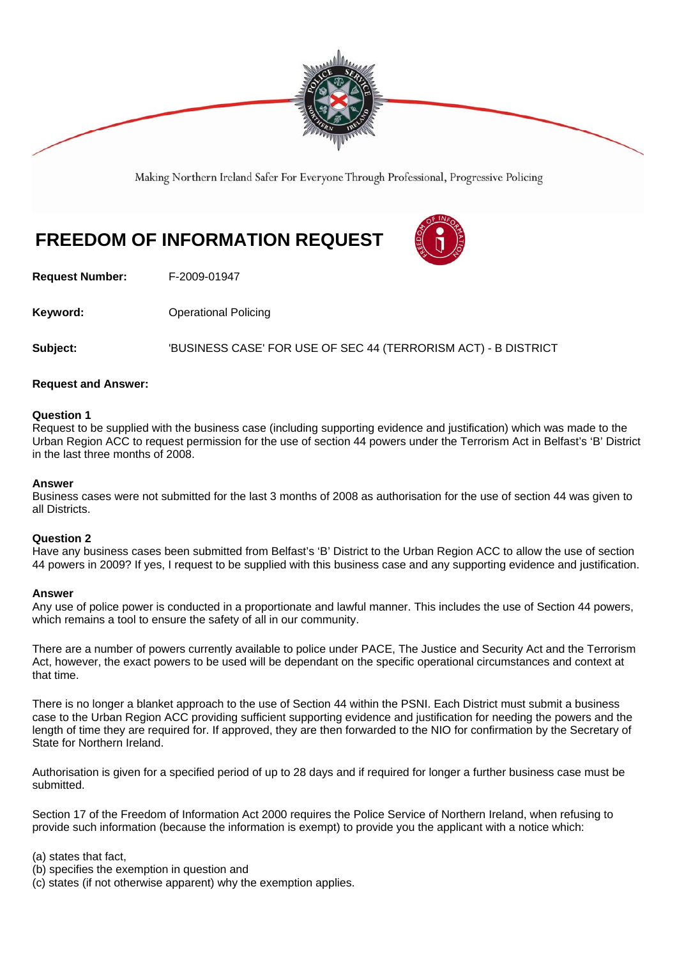

Making Northern Ireland Safer For Everyone Through Professional, Progressive Policing

# **FREEDOM OF INFORMATION REQUEST**



**Request Number:** F-2009-01947

**Keyword: Conservery Operational Policing** 

**Subject:** 'BUSINESS CASE' FOR USE OF SEC 44 (TERRORISM ACT) - B DISTRICT

# **Request and Answer:**

## **Question 1**

Request to be supplied with the business case (including supporting evidence and justification) which was made to the Urban Region ACC to request permission for the use of section 44 powers under the Terrorism Act in Belfast's 'B' District in the last three months of 2008.

#### **Answer**

Business cases were not submitted for the last 3 months of 2008 as authorisation for the use of section 44 was given to all Districts.

#### **Question 2**

Have any business cases been submitted from Belfast's 'B' District to the Urban Region ACC to allow the use of section 44 powers in 2009? If yes, I request to be supplied with this business case and any supporting evidence and justification.

#### **Answer**

Any use of police power is conducted in a proportionate and lawful manner. This includes the use of Section 44 powers, which remains a tool to ensure the safety of all in our community.

There are a number of powers currently available to police under PACE, The Justice and Security Act and the Terrorism Act, however, the exact powers to be used will be dependant on the specific operational circumstances and context at that time.

There is no longer a blanket approach to the use of Section 44 within the PSNI. Each District must submit a business case to the Urban Region ACC providing sufficient supporting evidence and justification for needing the powers and the length of time they are required for. If approved, they are then forwarded to the NIO for confirmation by the Secretary of State for Northern Ireland.

Authorisation is given for a specified period of up to 28 days and if required for longer a further business case must be submitted.

Section 17 of the Freedom of Information Act 2000 requires the Police Service of Northern Ireland, when refusing to provide such information (because the information is exempt) to provide you the applicant with a notice which:

(a) states that fact,

- (b) specifies the exemption in question and
- (c) states (if not otherwise apparent) why the exemption applies.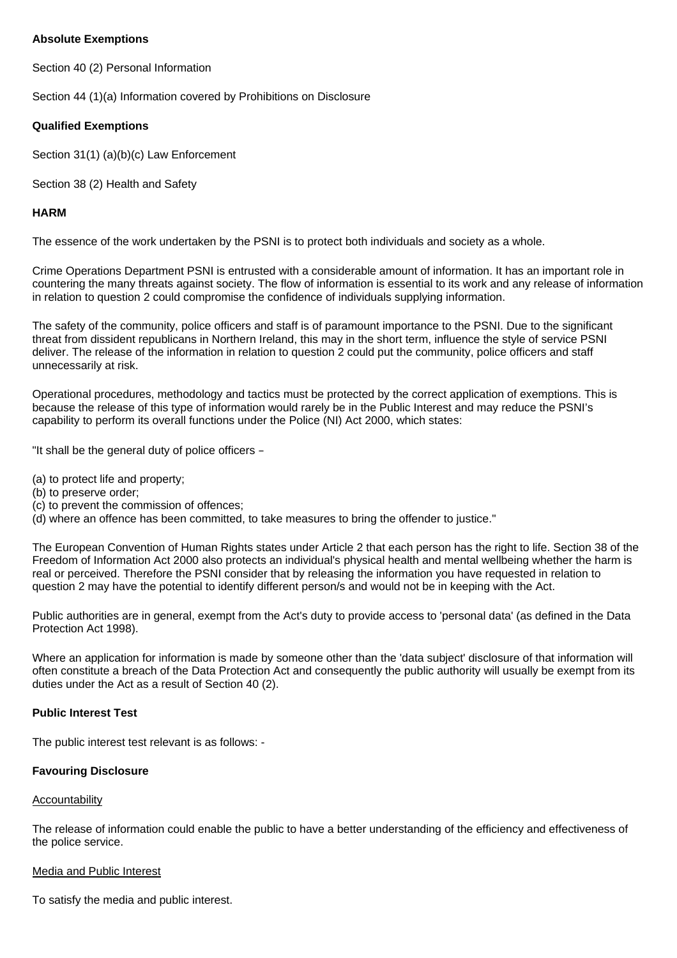# **Absolute Exemptions**

Section 40 (2) Personal Information

Section 44 (1)(a) Information covered by Prohibitions on Disclosure

# **Qualified Exemptions**

Section 31(1) (a)(b)(c) Law Enforcement

Section 38 (2) Health and Safety

# **HARM**

The essence of the work undertaken by the PSNI is to protect both individuals and society as a whole.

Crime Operations Department PSNI is entrusted with a considerable amount of information. It has an important role in countering the many threats against society. The flow of information is essential to its work and any release of information in relation to question 2 could compromise the confidence of individuals supplying information.

The safety of the community, police officers and staff is of paramount importance to the PSNI. Due to the significant threat from dissident republicans in Northern Ireland, this may in the short term, influence the style of service PSNI deliver. The release of the information in relation to question 2 could put the community, police officers and staff unnecessarily at risk.

Operational procedures, methodology and tactics must be protected by the correct application of exemptions. This is because the release of this type of information would rarely be in the Public Interest and may reduce the PSNI's capability to perform its overall functions under the Police (NI) Act 2000, which states:

"It shall be the general duty of police officers –

- (a) to protect life and property;
- (b) to preserve order;
- (c) to prevent the commission of offences;
- (d) where an offence has been committed, to take measures to bring the offender to justice."

The European Convention of Human Rights states under Article 2 that each person has the right to life. Section 38 of the Freedom of Information Act 2000 also protects an individual's physical health and mental wellbeing whether the harm is real or perceived. Therefore the PSNI consider that by releasing the information you have requested in relation to question 2 may have the potential to identify different person/s and would not be in keeping with the Act.

Public authorities are in general, exempt from the Act's duty to provide access to 'personal data' (as defined in the Data Protection Act 1998).

Where an application for information is made by someone other than the 'data subject' disclosure of that information will often constitute a breach of the Data Protection Act and consequently the public authority will usually be exempt from its duties under the Act as a result of Section 40 (2).

# **Public Interest Test**

The public interest test relevant is as follows: -

# **Favouring Disclosure**

# **Accountability**

The release of information could enable the public to have a better understanding of the efficiency and effectiveness of the police service.

# Media and Public Interest

To satisfy the media and public interest.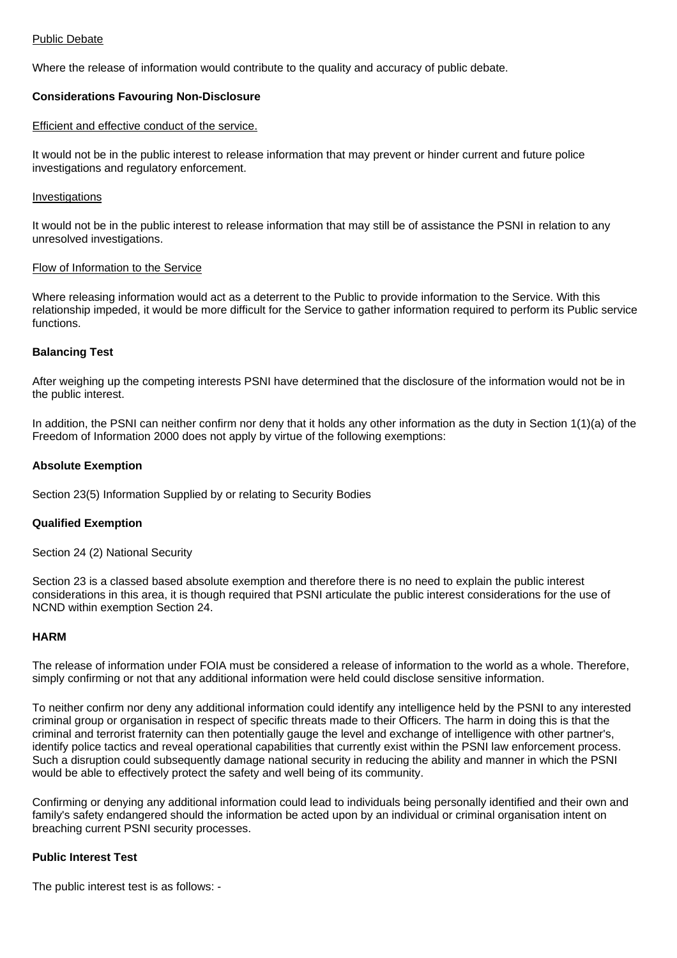## Public Debate

Where the release of information would contribute to the quality and accuracy of public debate.

# **Considerations Favouring Non-Disclosure**

## Efficient and effective conduct of the service.

It would not be in the public interest to release information that may prevent or hinder current and future police investigations and regulatory enforcement.

## Investigations

It would not be in the public interest to release information that may still be of assistance the PSNI in relation to any unresolved investigations.

## Flow of Information to the Service

Where releasing information would act as a deterrent to the Public to provide information to the Service. With this relationship impeded, it would be more difficult for the Service to gather information required to perform its Public service functions.

# **Balancing Test**

After weighing up the competing interests PSNI have determined that the disclosure of the information would not be in the public interest.

In addition, the PSNI can neither confirm nor deny that it holds any other information as the duty in Section 1(1)(a) of the Freedom of Information 2000 does not apply by virtue of the following exemptions:

## **Absolute Exemption**

Section 23(5) Information Supplied by or relating to Security Bodies

# **Qualified Exemption**

Section 24 (2) National Security

Section 23 is a classed based absolute exemption and therefore there is no need to explain the public interest considerations in this area, it is though required that PSNI articulate the public interest considerations for the use of NCND within exemption Section 24.

#### **HARM**

The release of information under FOIA must be considered a release of information to the world as a whole. Therefore, simply confirming or not that any additional information were held could disclose sensitive information.

To neither confirm nor deny any additional information could identify any intelligence held by the PSNI to any interested criminal group or organisation in respect of specific threats made to their Officers. The harm in doing this is that the criminal and terrorist fraternity can then potentially gauge the level and exchange of intelligence with other partner's, identify police tactics and reveal operational capabilities that currently exist within the PSNI law enforcement process. Such a disruption could subsequently damage national security in reducing the ability and manner in which the PSNI would be able to effectively protect the safety and well being of its community.

Confirming or denying any additional information could lead to individuals being personally identified and their own and family's safety endangered should the information be acted upon by an individual or criminal organisation intent on breaching current PSNI security processes.

# **Public Interest Test**

The public interest test is as follows: -